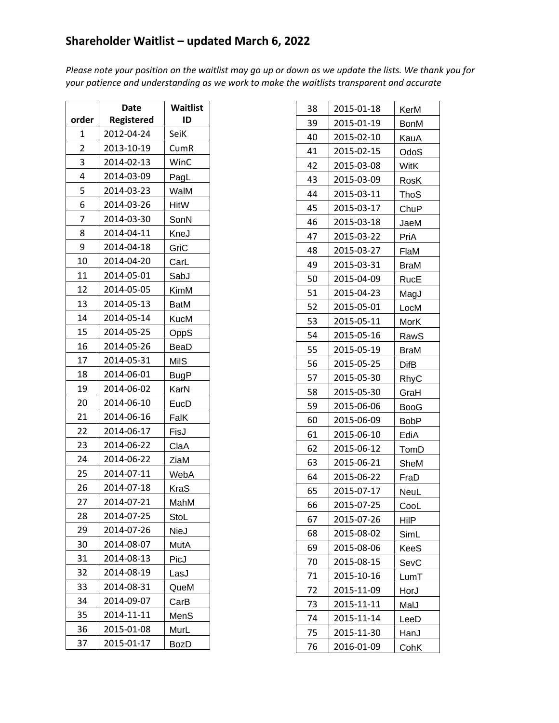|                | Date              | Waitlist    |
|----------------|-------------------|-------------|
| order          | <b>Registered</b> | ID          |
| 1              | 2012-04-24        | SeiK        |
| $\overline{c}$ | 2013-10-19        | CumR        |
| 3              | 2014-02-13        | WinC        |
| 4              | 2014-03-09        | PagL        |
| 5              | 2014-03-23        | WalM        |
| 6              | 2014-03-26        | HitW        |
| 7              | 2014-03-30        | SonN        |
| 8              | 2014-04-11        | KneJ        |
| 9              | 2014-04-18        | GriC        |
| 10             | 2014-04-20        | CarL        |
| 11             | 2014-05-01        | SabJ        |
| 12             | 2014-05-05        | KimM        |
| 13             | 2014-05-13        | BatM        |
| 14             | 2014-05-14        | <b>KucM</b> |
| 15             | 2014-05-25        | OppS        |
| 16             | 2014-05-26        | BeaD        |
| 17             | 2014-05-31        | Mils        |
| 18             | 2014-06-01        | <b>BugP</b> |
| 19             | 2014-06-02        | KarN        |
| 20             | 2014-06-10        | EucD        |
| 21             | 2014-06-16        | FalK        |
| 22             | 2014-06-17        | FisJ        |
| 23             | 2014-06-22        | ClaA        |
| 24             | 2014-06-22        | ZiaM        |
| 25             | 2014-07-11        | WebA        |
| 26             | 2014-07-18        | <b>KraS</b> |
| 27             | 2014-07-21        | MahM        |
| 28             | 2014-07-25        | StoL        |
| 29             | 2014-07-26        | NieJ        |
| 30             | 2014-08-07        | MutA        |
| 31             | 2014-08-13        | PicJ        |
| 32             | 2014-08-19        | LasJ        |
| 33             | 2014-08-31        | QueM        |
| 34             | 2014-09-07        | CarB        |
| 35             | 2014-11-11        | MenS        |
| 36             | 2015-01-08        | MurL        |
| 37             | 2015-01-17        | BozD        |

| 38 | 2015-01-18 | KerM        |
|----|------------|-------------|
| 39 | 2015-01-19 | <b>BonM</b> |
| 40 | 2015-02-10 | KauA        |
| 41 | 2015-02-15 | OdoS        |
| 42 | 2015-03-08 | WitK        |
| 43 | 2015-03-09 | RosK        |
| 44 | 2015-03-11 | ThoS        |
| 45 | 2015-03-17 | ChuP        |
| 46 | 2015-03-18 | JaeM        |
| 47 | 2015-03-22 | PriA        |
| 48 | 2015-03-27 | FlaM        |
| 49 | 2015-03-31 | <b>BraM</b> |
| 50 | 2015-04-09 | RucE        |
| 51 | 2015-04-23 | MagJ        |
| 52 | 2015-05-01 | LocM        |
| 53 | 2015-05-11 | MorK        |
| 54 | 2015-05-16 | RawS        |
| 55 | 2015-05-19 | BraM        |
| 56 | 2015-05-25 | DifB        |
| 57 | 2015-05-30 | RhyC        |
| 58 | 2015-05-30 | GraH        |
| 59 | 2015-06-06 | <b>BooG</b> |
| 60 | 2015-06-09 | BobP        |
| 61 | 2015-06-10 | EdiA        |
| 62 | 2015-06-12 | TomD        |
| 63 | 2015-06-21 | SheM        |
| 64 | 2015-06-22 | FraD        |
| 65 | 2015-07-17 | NeuL        |
| 66 | 2015-07-25 | CooL        |
| 67 | 2015-07-26 | HilP        |
| 68 | 2015-08-02 | SimL        |
| 69 | 2015-08-06 | <b>KeeS</b> |
| 70 | 2015-08-15 | SevC        |
| 71 | 2015-10-16 | LumT        |
| 72 | 2015-11-09 | HorJ        |
| 73 | 2015-11-11 | MalJ        |
| 74 | 2015-11-14 | LeeD        |
| 75 | 2015-11-30 | HanJ        |
| 76 | 2016-01-09 | CohK        |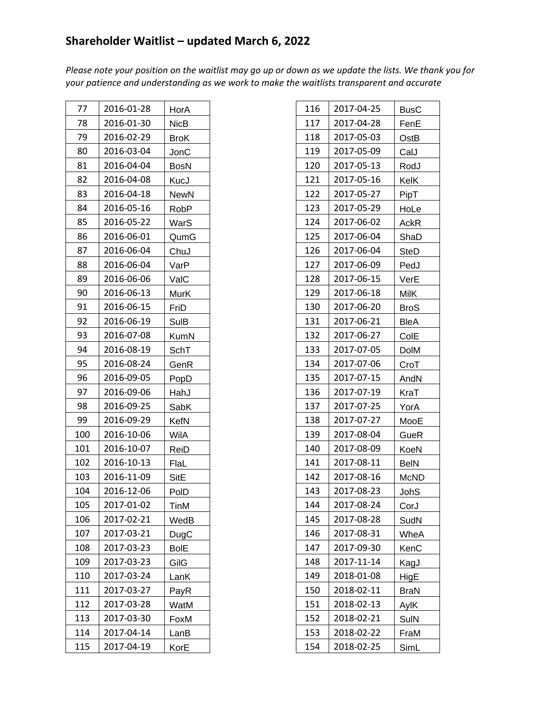| 77  | 2016-01-28 | HorA        |
|-----|------------|-------------|
| 78  | 2016-01-30 | NicB        |
| 79  | 2016-02-29 | <b>BroK</b> |
| 80  | 2016-03-04 | JonC        |
| 81  | 2016-04-04 | BosN        |
| 82  | 2016-04-08 | KucJ        |
| 83  | 2016-04-18 | NewN        |
| 84  | 2016-05-16 | RobP        |
| 85  | 2016-05-22 | WarS        |
| 86  | 2016-06-01 | QumG        |
| 87  | 2016-06-04 | ChuJ        |
| 88  | 2016-06-04 | VarP        |
| 89  | 2016-06-06 | ValC        |
| 90  | 2016-06-13 | MurK        |
| 91  | 2016-06-15 | FriD        |
| 92  | 2016-06-19 | SulB        |
| 93  | 2016-07-08 | <b>KumN</b> |
| 94  | 2016-08-19 | SchT        |
| 95  | 2016-08-24 | GenR        |
| 96  | 2016-09-05 | PopD        |
| 97  | 2016-09-06 | HahJ        |
| 98  | 2016-09-25 | SabK        |
| 99  | 2016-09-29 | KefN        |
| 100 | 2016-10-06 | WilA        |
| 101 | 2016-10-07 | ReiD        |
| 102 | 2016-10-13 | FlaL        |
| 103 | 2016-11-09 | SitE        |
| 104 | 2016-12-06 | PoID        |
| 105 | 2017-01-02 | TinM        |
| 106 | 2017-02-21 | WedB        |
| 107 | 2017-03-21 | DugC        |
| 108 | 2017-03-23 | <b>BolE</b> |
| 109 | 2017-03-23 | GilG        |
| 110 | 2017-03-24 | LanK        |
| 111 | 2017-03-27 | PayR        |
| 112 | 2017-03-28 | WatM        |
| 113 | 2017-03-30 | FoxM        |
| 114 | 2017-04-14 | LanB        |
| 115 | 2017-04-19 | KorE        |

| 116 | 2017-04-25 | <b>BusC</b> |
|-----|------------|-------------|
| 117 | 2017-04-28 | FenE        |
| 118 | 2017-05-03 | OstB        |
| 119 | 2017-05-09 | CalJ        |
| 120 | 2017-05-13 | RodJ        |
| 121 | 2017-05-16 | KelK        |
| 122 | 2017-05-27 | PipT        |
| 123 | 2017-05-29 | HoLe        |
| 124 | 2017-06-02 | <b>AckR</b> |
| 125 | 2017-06-04 | ShaD        |
| 126 | 2017-06-04 | SteD        |
| 127 | 2017-06-09 | PedJ        |
| 128 | 2017-06-15 | VerE        |
| 129 | 2017-06-18 | MilK        |
| 130 | 2017-06-20 | <b>BroS</b> |
| 131 | 2017-06-21 | <b>BleA</b> |
| 132 | 2017-06-27 | ColE        |
| 133 | 2017-07-05 | <b>DolM</b> |
| 134 | 2017-07-06 | CroT        |
| 135 | 2017-07-15 | AndN        |
| 136 | 2017-07-19 | KraT        |
| 137 | 2017-07-25 | YorA        |
| 138 | 2017-07-27 | MooE        |
| 139 | 2017-08-04 | GueR        |
| 140 | 2017-08-09 | KoeN        |
| 141 | 2017-08-11 | BelN        |
| 142 | 2017-08-16 | McND        |
| 143 | 2017-08-23 | JohS        |
| 144 | 2017-08-24 | CorJ        |
| 145 | 2017-08-28 | SudN        |
| 146 | 2017-08-31 | WheA        |
| 147 | 2017-09-30 | KenC        |
| 148 | 2017-11-14 | KagJ        |
| 149 | 2018-01-08 | HigE        |
| 150 | 2018-02-11 | <b>BraN</b> |
| 151 | 2018-02-13 | AylK        |
| 152 | 2018-02-21 | SulN        |
| 153 | 2018-02-22 | FraM        |
| 154 | 2018-02-25 | SimL        |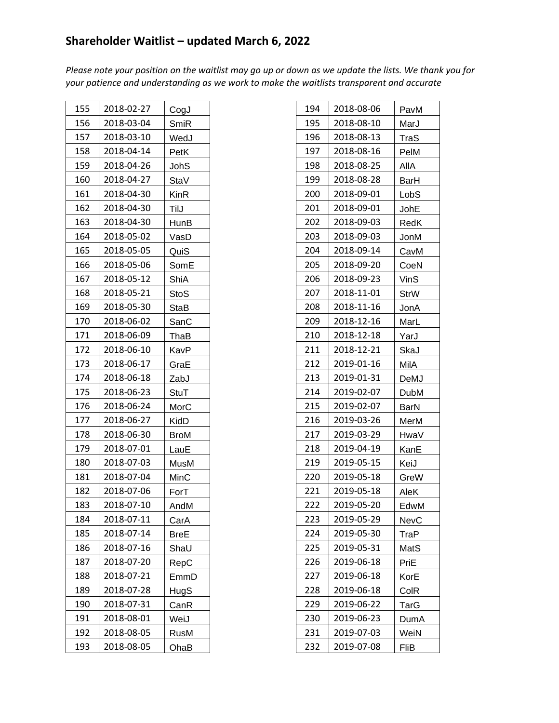| 155 | 2018-02-27 | CogJ        |
|-----|------------|-------------|
| 156 | 2018-03-04 | SmiR        |
| 157 | 2018-03-10 | WedJ        |
| 158 | 2018-04-14 | PetK        |
| 159 | 2018-04-26 | JohS        |
| 160 | 2018-04-27 | StaV        |
| 161 | 2018-04-30 | <b>KinR</b> |
| 162 | 2018-04-30 | TilJ        |
| 163 | 2018-04-30 | HunB        |
| 164 | 2018-05-02 | VasD        |
| 165 | 2018-05-05 | QuiS        |
| 166 | 2018-05-06 | SomE        |
| 167 | 2018-05-12 | ShiA        |
| 168 | 2018-05-21 | <b>StoS</b> |
| 169 | 2018-05-30 | <b>StaB</b> |
| 170 | 2018-06-02 | SanC        |
| 171 | 2018-06-09 | ThaB        |
| 172 | 2018-06-10 | KavP        |
| 173 | 2018-06-17 | GraE        |
| 174 | 2018-06-18 | ZabJ        |
| 175 | 2018-06-23 | StuT        |
| 176 | 2018-06-24 | MorC        |
| 177 | 2018-06-27 | KidD        |
| 178 | 2018-06-30 | <b>BroM</b> |
| 179 | 2018-07-01 | LauE        |
| 180 | 2018-07-03 | MusM        |
| 181 | 2018-07-04 | MinC        |
| 182 | 2018-07-06 | ForT        |
| 183 | 2018-07-10 | AndM        |
| 184 | 2018-07-11 | CarA        |
| 185 | 2018-07-14 | <b>BreE</b> |
| 186 | 2018-07-16 | ShaU        |
| 187 | 2018-07-20 | RepC        |
| 188 | 2018-07-21 | EmmD        |
| 189 | 2018-07-28 | HugS        |
| 190 | 2018-07-31 | CanR        |
| 191 | 2018-08-01 | WeiJ        |
| 192 | 2018-08-05 | RusM        |
| 193 | 2018-08-05 | OhaB        |

| 194 | 2018-08-06 | PavM |
|-----|------------|------|
| 195 | 2018-08-10 | MarJ |
| 196 | 2018-08-13 | TraS |
| 197 | 2018-08-16 | PelM |
| 198 | 2018-08-25 | aiia |
| 199 | 2018-08-28 | BarH |
| 200 | 2018-09-01 | LobS |
| 201 | 2018-09-01 | JohE |
| 202 | 2018-09-03 | RedK |
| 203 | 2018-09-03 | JonM |
| 204 | 2018-09-14 | CavM |
| 205 | 2018-09-20 | CoeN |
| 206 | 2018-09-23 | VinS |
| 207 | 2018-11-01 | StrW |
| 208 | 2018-11-16 | JonA |
| 209 | 2018-12-16 | MarL |
| 210 | 2018-12-18 | YarJ |
| 211 | 2018-12-21 | SkaJ |
| 212 | 2019-01-16 | Mila |
| 213 | 2019-01-31 | DeMJ |
| 214 | 2019-02-07 | DubM |
| 215 | 2019-02-07 | BarN |
| 216 | 2019-03-26 | MerM |
| 217 | 2019-03-29 | HwaV |
| 218 | 2019-04-19 | KanE |
| 219 | 2019-05-15 | KeiJ |
| 220 | 2019-05-18 | GreW |
| 221 | 2019-05-18 | AleK |
| 222 | 2019-05-20 | EdwM |
| 223 | 2019-05-29 | NevC |
| 224 | 2019-05-30 | TraP |
| 225 | 2019-05-31 | MatS |
| 226 | 2019-06-18 | PriE |
| 227 | 2019-06-18 | KorE |
| 228 | 2019-06-18 | ColR |
| 229 | 2019-06-22 | TarG |
| 230 | 2019-06-23 | DumA |
| 231 | 2019-07-03 | WeiN |
| 232 | 2019-07-08 | FliB |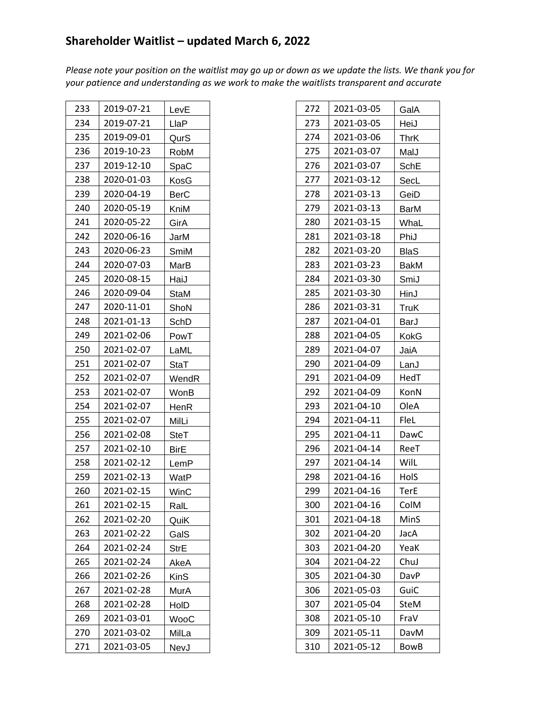| 233 | 2019-07-21 | LevE        |
|-----|------------|-------------|
| 234 | 2019-07-21 | LlaP        |
| 235 | 2019-09-01 | QurS        |
| 236 | 2019-10-23 | RobM        |
| 237 | 2019-12-10 | SpaC        |
| 238 | 2020-01-03 | KosG        |
| 239 | 2020-04-19 | <b>BerC</b> |
| 240 | 2020-05-19 | KniM        |
| 241 | 2020-05-22 | GirA        |
| 242 | 2020-06-16 | JarM        |
| 243 | 2020-06-23 | SmiM        |
| 244 | 2020-07-03 | MarB        |
| 245 | 2020-08-15 | HaiJ        |
| 246 | 2020-09-04 | StaM        |
| 247 | 2020-11-01 | ShoN        |
| 248 | 2021-01-13 | SchD        |
| 249 | 2021-02-06 | PowT        |
| 250 | 2021-02-07 | LaML        |
| 251 | 2021-02-07 | StaT        |
| 252 | 2021-02-07 | WendR       |
| 253 | 2021-02-07 | WonB        |
| 254 | 2021-02-07 | HenR        |
| 255 | 2021-02-07 | MilLi       |
| 256 | 2021-02-08 | <b>SteT</b> |
| 257 | 2021-02-10 | <b>BirE</b> |
| 258 | 2021-02-12 | LemP        |
| 259 | 2021-02-13 | WatP        |
| 260 | 2021-02-15 | WinC        |
| 261 | 2021-02-15 | RalL        |
| 262 | 2021-02-20 | QuiK        |
| 263 | 2021-02-22 | GalS        |
| 264 | 2021-02-24 | <b>StrE</b> |
| 265 | 2021-02-24 | AkeA        |
| 266 | 2021-02-26 | <b>KinS</b> |
| 267 | 2021-02-28 | MurA        |
| 268 | 2021-02-28 | HoID        |
| 269 | 2021-03-01 | WooC        |
| 270 | 2021-03-02 | MilLa       |
| 271 | 2021-03-05 | NevJ        |

| 272 | 2021-03-05 | GalA        |
|-----|------------|-------------|
| 273 | 2021-03-05 | HeiJ        |
| 274 | 2021-03-06 | ThrK        |
| 275 | 2021-03-07 | MalJ        |
| 276 | 2021-03-07 | SchE        |
| 277 | 2021-03-12 | SecL        |
| 278 | 2021-03-13 | GeiD        |
| 279 | 2021-03-13 | BarM        |
| 280 | 2021-03-15 | WhaL        |
| 281 | 2021-03-18 | PhiJ        |
| 282 | 2021-03-20 | BlaS        |
| 283 | 2021-03-23 | BakM        |
| 284 | 2021-03-30 | SmiJ        |
| 285 | 2021-03-30 | HinJ        |
| 286 | 2021-03-31 | TruK        |
| 287 | 2021-04-01 | BarJ        |
| 288 | 2021-04-05 | KokG        |
| 289 | 2021-04-07 | JaiA        |
| 290 | 2021-04-09 | LanJ        |
| 291 | 2021-04-09 | HedT        |
| 292 | 2021-04-09 | KonN        |
| 293 | 2021-04-10 | OleA        |
| 294 | 2021-04-11 | FleL        |
| 295 | 2021-04-11 | DawC        |
| 296 | 2021-04-14 | ReeT        |
| 297 | 2021-04-14 | Will        |
| 298 | 2021-04-16 | HolS        |
| 299 | 2021-04-16 | <b>TerE</b> |
| 300 | 2021-04-16 | ColM        |
| 301 | 2021-04-18 | MinS        |
| 302 | 2021-04-20 | JacA        |
| 303 | 2021-04-20 | YeaK        |
| 304 | 2021-04-22 | ChuJ        |
| 305 | 2021-04-30 | DavP        |
| 306 | 2021-05-03 | GuiC        |
| 307 | 2021-05-04 | SteM        |
| 308 | 2021-05-10 | FraV        |
| 309 | 2021-05-11 | DavM        |
| 310 | 2021-05-12 | BowB        |